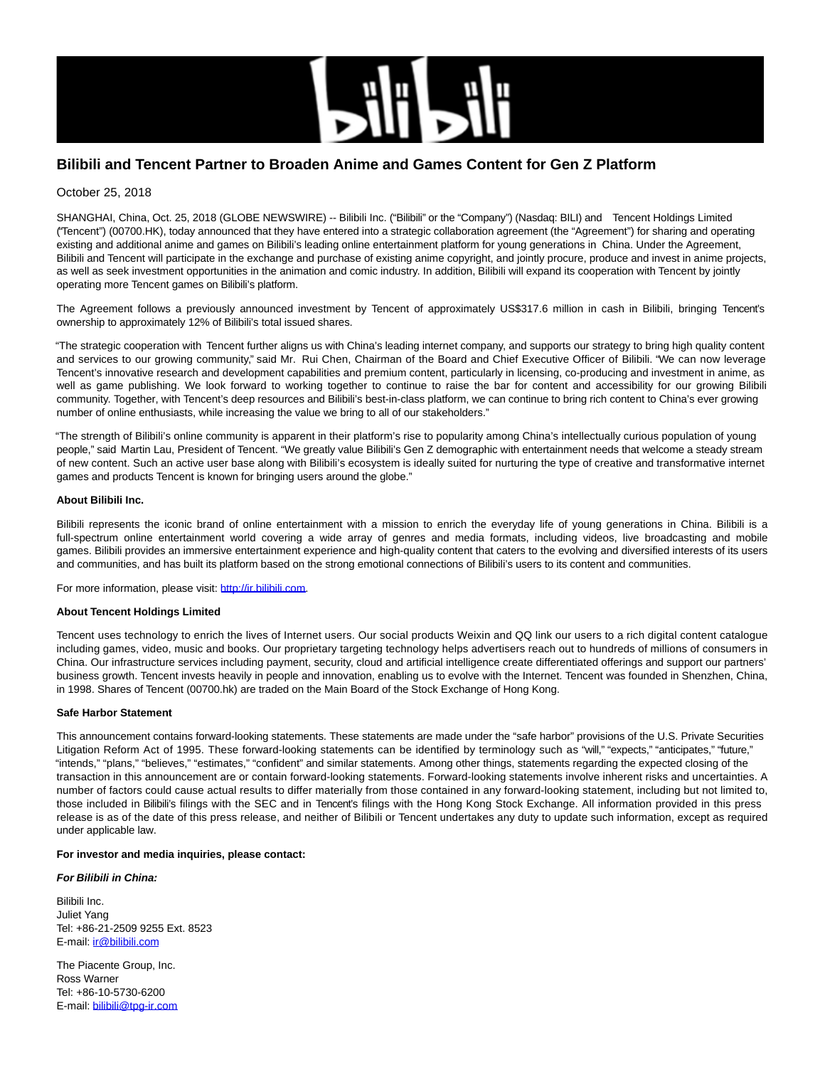

# **Bilibili and Tencent Partner to Broaden Anime and Games Content for Gen Z Platform**

# October 25, 2018

SHANGHAI, China, Oct. 25, 2018 (GLOBE NEWSWIRE) -- Bilibili Inc. ("Bilibili" or the "Company") (Nasdaq: BILI) and Tencent Holdings Limited ("Tencent") (00700.HK), today announced that they have entered into a strategic collaboration agreement (the "Agreement") for sharing and operating existing and additional anime and games on Bilibili's leading online entertainment platform for young generations in China. Under the Agreement, Bilibili and Tencent will participate in the exchange and purchase of existing anime copyright, and jointly procure, produce and invest in anime projects, as well as seek investment opportunities in the animation and comic industry. In addition, Bilibili will expand its cooperation with Tencent by jointly operating more Tencent games on Bilibili's platform.

The Agreement follows a previously announced investment by Tencent of approximately US\$317.6 million in cash in Bilibili, bringing Tencent's ownership to approximately 12% of Bilibili's total issued shares.

"The strategic cooperation with Tencent further aligns us with China's leading internet company, and supports our strategy to bring high quality content and services to our growing community," said Mr. Rui Chen, Chairman of the Board and Chief Executive Officer of Bilibili. "We can now leverage Tencent's innovative research and development capabilities and premium content, particularly in licensing, co-producing and investment in anime, as well as game publishing. We look forward to working together to continue to raise the bar for content and accessibility for our growing Bilibili community. Together, with Tencent's deep resources and Bilibili's best-in-class platform, we can continue to bring rich content to China's ever growing number of online enthusiasts, while increasing the value we bring to all of our stakeholders."

"The strength of Bilibili's online community is apparent in their platform's rise to popularity among China's intellectually curious population of young people," said Martin Lau, President of Tencent. "We greatly value Bilibili's Gen Z demographic with entertainment needs that welcome a steady stream of new content. Such an active user base along with Bilibili's ecosystem is ideally suited for nurturing the type of creative and transformative internet games and products Tencent is known for bringing users around the globe."

### **About Bilibili Inc.**

Bilibili represents the iconic brand of online entertainment with a mission to enrich the everyday life of young generations in China. Bilibili is a full-spectrum online entertainment world covering a wide array of genres and media formats, including videos, live broadcasting and mobile games. Bilibili provides an immersive entertainment experience and high-quality content that caters to the evolving and diversified interests of its users and communities, and has built its platform based on the strong emotional connections of Bilibili's users to its content and communities.

For more information, please visit: [http://ir.bilibili.com.](https://www.globenewswire.com/Tracker?data=Pi7Jh0lxGwzBjR0TekGn7ab867ZCBytSVsNHa2Z1G4sSnJtN-kOm7475j6iynkvaGASuhKXrmVR25nvTW0qpfM8uuVnC61yDxnazlcfs3B7kPHIqht5-kxldcaUhCox3yQ_LiJtNgwJxbmcnQ6Rp-EGZTqneBv6HzhqdSyuX43jmNiqbRGonZG7pxU1W9Z-5Zv-2buTlG0pNT2WmHS0JxYmUldxG64ds_woixtwDbcHs7TxpBsJD7nm5-P03WTyUxbljr-IcQi0g_cz1oUSRcQ==)

#### **About Tencent Holdings Limited**

Tencent uses technology to enrich the lives of Internet users. Our social products Weixin and QQ link our users to a rich digital content catalogue including games, video, music and books. Our proprietary targeting technology helps advertisers reach out to hundreds of millions of consumers in China. Our infrastructure services including payment, security, cloud and artificial intelligence create differentiated offerings and support our partners' business growth. Tencent invests heavily in people and innovation, enabling us to evolve with the Internet. Tencent was founded in Shenzhen, China, in 1998. Shares of Tencent (00700.hk) are traded on the Main Board of the Stock Exchange of Hong Kong.

## **Safe Harbor Statement**

This announcement contains forward-looking statements. These statements are made under the "safe harbor" provisions of the U.S. Private Securities Litigation Reform Act of 1995. These forward-looking statements can be identified by terminology such as "will," "expects," "anticipates," "future," "intends," "plans," "believes," "estimates," "confident" and similar statements. Among other things, statements regarding the expected closing of the transaction in this announcement are or contain forward-looking statements. Forward-looking statements involve inherent risks and uncertainties. A number of factors could cause actual results to differ materially from those contained in any forward-looking statement, including but not limited to, those included in Bilibili's filings with the SEC and in Tencent's filings with the Hong Kong Stock Exchange. All information provided in this press release is as of the date of this press release, and neither of Bilibili or Tencent undertakes any duty to update such information, except as required under applicable law.

### **For investor and media inquiries, please contact:**

#### **For Bilibili in China:**

Bilibili Inc. Juliet Yang Tel: +86-21-2509 9255 Ext. 8523 E-mail: [ir@bilibili.com](https://www.globenewswire.com/Tracker?data=5i0MJPhKjFx43cQYvL9kf-UZhwiL2ZEQuDsgTQ25qdjIirA83FQC--SoeStYbFWdt3mxQpPQfsBNeDIKXMvqzXGDeFv_oIcvpzSwHSt9GI-dDp0_GJwwYMFTH2W-odLdVRX2ZrQNgoHsBzRYQN4gGiCU53FcmlkUJ5ay5i7xYh0gHPg0Evxtzk8rKnyUzRFsH2hdcxRTdsKblZPdFvX_GDCXkETN9oNjSaMT0G8Y0nk=)

The Piacente Group, Inc. Ross Warner Tel: +86-10-5730-6200 E-mail: [bilibili@tpg-ir.com](https://www.globenewswire.com/Tracker?data=VW1_BF8Tp6of1MUwJxmrZ0h6F1SD1EdJEh5ezOm4kzjS8PNq6Toeij9PBCXrhy5Z6OjwwCRnXzrXHVOygcD0Nyex5v9Oeic8nNp6sn3s0Rbkloa9bbouxxsH-Q0qDwYmv5SgaGCuoTEZkLIBieo3sig_t71MmKx7nEpTsiQ7Y5euUqRhFsxjh68aLZOccg-jdJFSPZaAYv7L0XmZThguOtSVS9x_b7AbTUflDw81E0f3IRX_jFw7uLKPQ6saenMKQYTiTS0VT9bKyU5wqsi01Q==)